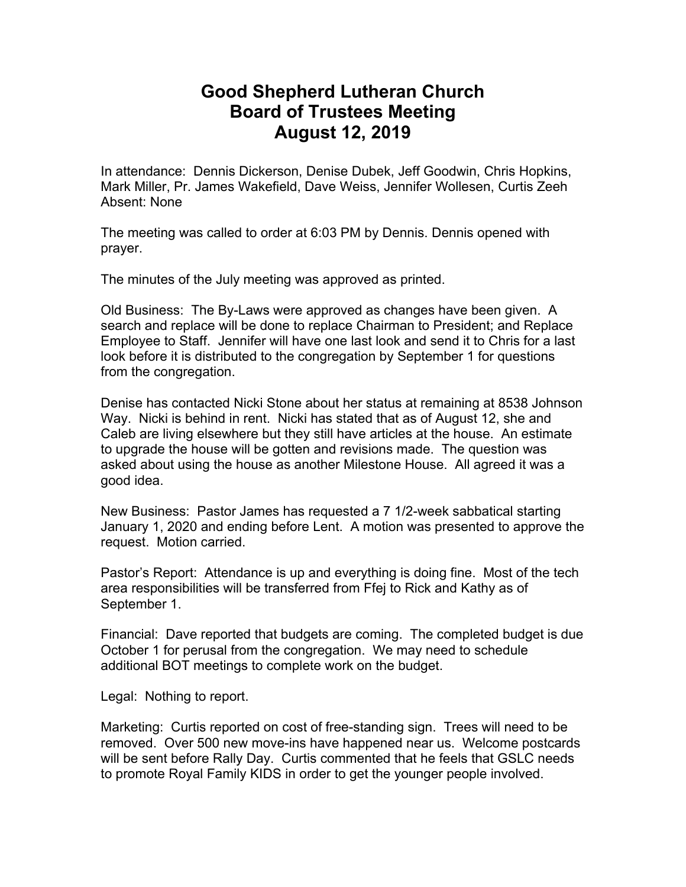## **Good Shepherd Lutheran Church Board of Trustees Meeting August 12, 2019**

In attendance: Dennis Dickerson, Denise Dubek, Jeff Goodwin, Chris Hopkins, Mark Miller, Pr. James Wakefield, Dave Weiss, Jennifer Wollesen, Curtis Zeeh Absent: None

The meeting was called to order at 6:03 PM by Dennis. Dennis opened with prayer.

The minutes of the July meeting was approved as printed.

Old Business: The By-Laws were approved as changes have been given. A search and replace will be done to replace Chairman to President; and Replace Employee to Staff. Jennifer will have one last look and send it to Chris for a last look before it is distributed to the congregation by September 1 for questions from the congregation.

Denise has contacted Nicki Stone about her status at remaining at 8538 Johnson Way. Nicki is behind in rent. Nicki has stated that as of August 12, she and Caleb are living elsewhere but they still have articles at the house. An estimate to upgrade the house will be gotten and revisions made. The question was asked about using the house as another Milestone House. All agreed it was a good idea.

New Business: Pastor James has requested a 7 1/2-week sabbatical starting January 1, 2020 and ending before Lent. A motion was presented to approve the request. Motion carried.

Pastor's Report: Attendance is up and everything is doing fine. Most of the tech area responsibilities will be transferred from Ffej to Rick and Kathy as of September 1.

Financial: Dave reported that budgets are coming. The completed budget is due October 1 for perusal from the congregation. We may need to schedule additional BOT meetings to complete work on the budget.

Legal: Nothing to report.

Marketing: Curtis reported on cost of free-standing sign. Trees will need to be removed. Over 500 new move-ins have happened near us. Welcome postcards will be sent before Rally Day. Curtis commented that he feels that GSLC needs to promote Royal Family KIDS in order to get the younger people involved.